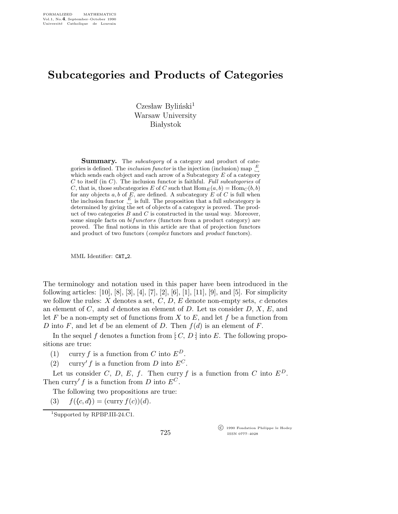## Subcategories and Products of Categories

 $C$ zesław Byliński<sup>1</sup> Warsaw University **Białystok** 

**Summary.** The *subcategory* of a category and product of categories is defined. The *inclusion functor* is the injection (inclusion) map  $\frac{E}{\rightarrow}$ which sends each object and each arrow of a Subcategory  $E$  of a category  $C$  to itself (in  $C$ ). The inclusion functor is faithful. Full subcategories of C, that is, those subcategories E of C such that  $\text{Hom}_{E}(a, b) = \text{Hom}_{C}(b, b)$ for any objects a, b of E, are defined. A subcategory E of C is full when the inclusion functor  $\frac{E}{\epsilon}$  is full. The proposition that a full subcategory is determined by giving the set of objects of a category is proved. The product of two categories  $B$  and  $C$  is constructed in the usual way. Moreover, some simple facts on  $bifunctors$  (functors from a product category) are proved. The final notions in this article are that of projection functors and product of two functors (complex functors and product functors).

MML Identifier: CAT\_2.

The terminology and notation used in this paper have been introduced in the following articles: [10], [8], [3], [4], [7], [2], [6], [1], [11], [9], and [5]. For simplicity we follow the rules:  $X$  denotes a set,  $C, D, E$  denote non-empty sets,  $c$  denotes an element of C, and d denotes an element of D. Let us consider  $D, X, E$ , and let F be a non-empty set of functions from X to E, and let f be a function from D into F, and let d be an element of D. Then  $f(d)$  is an element of F.

In the sequel f denotes a function from  $|: C, D$  into E. The following propositions are true:

- (1) curry f is a function from C into  $E^D$ .
- (2) curry' f is a function from D into  $E^C$ .

Let us consider C, D, E, f. Then curry f is a function from C into  $E^D$ . Then curry' f is a function from D into  $E^C$ .

The following two propositions are true:

(3)  $f(\langle c, d \rangle) = (\text{curry } f(c))(d).$ 

<sup>1</sup>Supported by RPBP.III-24.C1.

 c 1990 Fondation Philippe le Hodey ISSN 0777–4028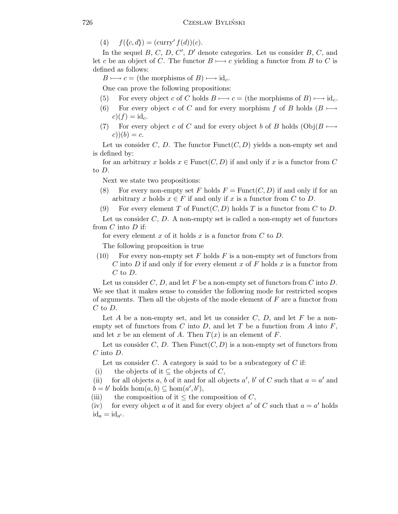(4)  $f(\langle c, d \rangle) = (\text{curry'} f(d))(c).$ 

In the sequel  $B, C, D, C', D'$  denote categories. Let us consider  $B, C$ , and let c be an object of C. The functor  $B \mapsto c$  yielding a functor from B to C is defined as follows:

 $B \longmapsto c =$  (the morphisms of  $B \rightarrow id_c$ .

One can prove the following propositions:

- (5) For every object c of C holds  $B \mapsto c =$  (the morphisms of B)  $\mapsto id_c$ .
- (6) For every object c of C and for every morphism f of B holds  $(B \mapsto$  $c)(f) = id_c.$
- (7) For every object c of C and for every object b of B holds (Obj $(B \mapsto$  $c)(b) = c.$

Let us consider C, D. The functor  $Funct(C, D)$  yields a non-empty set and is defined by:

for an arbitrary x holds  $x \in \text{Funct}(C, D)$  if and only if x is a functor from C to D.

Next we state two propositions:

- (8) For every non-empty set F holds  $F = \text{Funct}(C, D)$  if and only if for an arbitrary x holds  $x \in F$  if and only if x is a functor from C to D.
- (9) For every element T of Funct(C, D) holds T is a functor from C to D.

Let us consider  $C, D$ . A non-empty set is called a non-empty set of functors from  $C$  into  $D$  if:

for every element x of it holds x is a functor from  $C$  to  $D$ .

The following proposition is true

(10) For every non-empty set F holds F is a non-empty set of functors from C into D if and only if for every element x of F holds x is a functor from  $C$  to  $D$ .

Let us consider  $C, D$ , and let F be a non-empty set of functors from  $C$  into  $D$ . We see that it makes sense to consider the following mode for restricted scopes of arguments. Then all the objests of the mode element of  $F$  are a functor from  $C$  to  $D$ .

Let  $A$  be a non-empty set, and let us consider  $C, D$ , and let  $F$  be a nonempty set of functors from C into D, and let T be a function from A into  $F$ , and let x be an element of A. Then  $T(x)$  is an element of F.

Let us consider C, D. Then Funct $(C, D)$  is a non-empty set of functors from  $C$  into  $D$ .

Let us consider  $C$ . A category is said to be a subcategory of  $C$  if:

(i) the objects of it  $\subseteq$  the objects of C,

(ii) for all objects a, b of it and for all objects a', b' of C such that  $a = a'$  and  $\overset{\sim}{b} = b'$  holds  $\text{hom}(a, b) \subseteq \text{hom}(a', b'),$ 

(iii) the composition of it  $\leq$  the composition of C,

(iv) for every object a of it and for every object a' of C such that  $a = a'$  holds  $\mathrm{id}_a = \mathrm{id}_{a'}$ .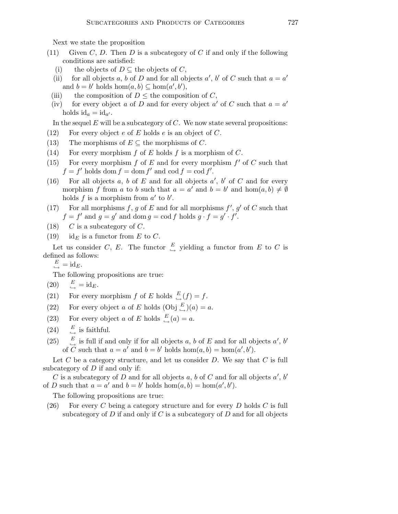Next we state the proposition

- (11) Given C, D. Then D is a subcategory of C if and only if the following conditions are satisfied:
	- (i) the objects of  $D \subseteq$  the objects of C,
	- (ii) for all objects a, b of D and for all objects a', b' of C such that  $a = a'$ and  $b = b'$  holds hom $(a, b) \subseteq \text{hom}(a', b')$ ,
	- (iii) the composition of  $D \leq$  the composition of C,
	- (iv) for every object a of D and for every object a' of C such that  $a = a'$ holds  $id_a = id_{a'}$ .

In the sequel  $E$  will be a subcategory of  $C$ . We now state several propositions:

- (12) For every object e of E holds e is an object of C.
- (13) The morphisms of  $E \subseteq$  the morphisms of C.
- (14) For every morphism  $f$  of  $E$  holds  $f$  is a morphism of  $C$ .
- (15) For every morphism  $f$  of  $E$  and for every morphism  $f'$  of  $C$  such that  $f = f'$  holds dom  $f = \text{dom } f'$  and  $\text{cod } f = \text{cod } f'$ .
- (16) For all objects  $a, b$  of  $E$  and for all objects  $a', b'$  of  $C$  and for every morphism f from a to b such that  $a = a'$  and  $b = b'$  and  $hom(a, b) \neq \emptyset$ holds f is a morphism from  $a'$  to  $b'$ .
- (17) For all morphisms f, g of E and for all morphisms  $f'$ ,  $g'$  of C such that  $f = f'$  and  $g = g'$  and dom  $g = \text{cod } f$  holds  $g \cdot f = g' \cdot f'$ .
- (18)  $C$  is a subcategory of  $C$ .
- (19) id<sub>*E*</sub> is a functor from *E* to *C*.

Let us consider C, E. The functor  $\stackrel{E}{\hookrightarrow}$  yielding a functor from E to C is defined as follows:

$$
\overset{E}{\hookrightarrow} = \mathrm{id}_{E}.
$$

The following propositions are true:

$$
(20) \t\t E_{\to} = id_E.
$$

(21) For every morphism  $f$  of  $E$  holds  $\stackrel{E}{\hookrightarrow} (f) = f$ .

- (22) For every object a of E holds  $(Obj \xrightarrow{E} )(a) = a$ .
- (23) For every object a of E holds  $\stackrel{E}{\hookrightarrow}$  (a) = a.
- $(24)$  $\stackrel{E}{\hookrightarrow}$  is faithful.
- $(25)$  $\stackrel{E}{\hookrightarrow}$  is full if and only if for all objects a, b of E and for all objects a', b' of  $\overrightarrow{C}$  such that  $a = a'$  and  $b = b'$  holds hom $(a, b) = \text{hom}(a', b')$ .

Let  $C$  be a category structure, and let us consider  $D$ . We say that  $C$  is full subcategory of  $D$  if and only if:

C is a subcategory of D and for all objects a, b of C and for all objects  $a'$ , b' of D such that  $a = a'$  and  $b = b'$  holds  $hom(a, b) = hom(a', b')$ .

The following propositions are true:

(26) For every C being a category structure and for every D holds C is full subcategory of  $D$  if and only if  $C$  is a subcategory of  $D$  and for all objects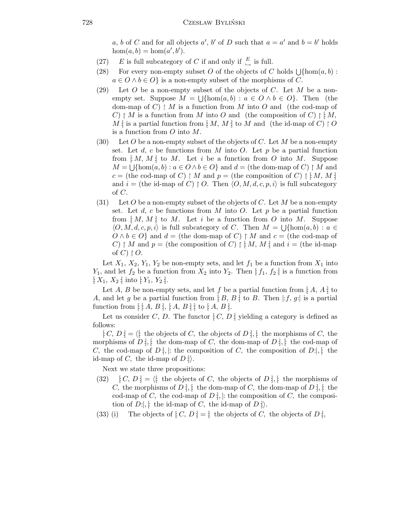a, b of C and for all objects a', b' of D such that  $a = a'$  and  $b = b'$  holds  $hom(a, b) = hom(a', b').$ 

- (27) E is full subcategory of C if and only if  $\frac{E}{\hookrightarrow}$  is full.
- (28) For every non-empty subset O of the objects of C holds  $\bigcup \{\text{hom}(a, b) :$  $a \in O \land b \in O$  is a non-empty subset of the morphisms of C.
- (29) Let O be a non-empty subset of the objects of C. Let M be a nonempty set. Suppose  $M = \bigcup \{\text{hom}(a, b) : a \in O \land b \in O\}$ . Then (the dom-map of C)  $\upharpoonright M$  is a function from M into O and (the cod-map of  $C$ )  $\upharpoonright M$  is a function from M into O and (the composition of C)  $\upharpoonright \upharpoonright M$ , M : is a partial function from  $|M, M|$  to M and (the id-map of C)  $\restriction O$ is a function from  $O$  into  $M$ .
- (30) Let O be a non-empty subset of the objects of C. Let M be a non-empty set. Let  $d$ ,  $c$  be functions from  $M$  into  $O$ . Let  $p$  be a partial function from  $[M, M]$  to M. Let i be a function from O into M. Suppose  $M = \bigcup \{\text{hom}(a, b) : a \in O \land b \in O\}$  and  $d = (\text{the dom-map of } C) \restriction M$  and c = (the cod-map of C)  $\restriction M$  and  $p =$  (the composition of C)  $\restriction M, M$ : and  $i =$  (the id-map of C)  $\restriction O$ . Then  $\langle O, M, d, c, p, i \rangle$  is full subcategory of C.
- (31) Let O be a non-empty subset of the objects of C. Let M be a non-empty set. Let  $d$ ,  $c$  be functions from  $M$  into  $O$ . Let  $p$  be a partial function from  $[M, M]$  to M. Let i be a function from O into M. Suppose  $\langle O, M, d, c, p, i \rangle$  is full subcategory of C. Then  $M = \bigcup \{\text{hom}(a, b) : a \in$  $O \wedge b \in O$  and  $d =$  (the dom-map of C) | M and  $c =$  (the cod-map of C)  $\restriction M$  and  $p =$  (the composition of C)  $\restriction M$ , M : and  $i =$  (the id-map of C)  $\restriction O$ .

Let  $X_1, X_2, Y_1, Y_2$  be non-empty sets, and let  $f_1$  be a function from  $X_1$  into  $Y_1$ , and let  $f_2$  be a function from  $X_2$  into  $Y_2$ . Then  $[f_1, f_2]$  is a function from  $[X_1, X_2]$  into  $[Y_1, Y_2]$ .

Let A, B be non-empty sets, and let f be a partial function from [A, A :] to A, and let g be a partial function from [B, B] to B. Then  $|: f, g:$  is a partial function from  $[$   $[A, B], [A, B]$   $]$  to  $[A, B]$ .

Let us consider C, D. The functor  $[C, D]$  yielding a category is defined as follows:

 $[C, D] = \langle$ : the objects of C, the objects of D; i, the morphisms of C, the morphisms of D :, [: the dom-map of C, the dom-map of D :], [: the cod-map of C, the cod-map of D;, |: the composition of C, the composition of D:, |: the id-map of C, the id-map of  $D \nvert$ .

Next we state three propositions:

- (32)  $[C, D] = \langle$ : the objects of C, the objects of D :], [: the morphisms of C, the morphisms of D :,  $[$  the dom-map of C, the dom-map of D :,  $[$  the cod-map of C, the cod-map of D :, |: the composition of C, the composition of  $D:$ , if the id-map of C, the id-map of  $D:$ .
- (33) (i) The objects of  $[C, D] = [$  the objects of C, the objects of D :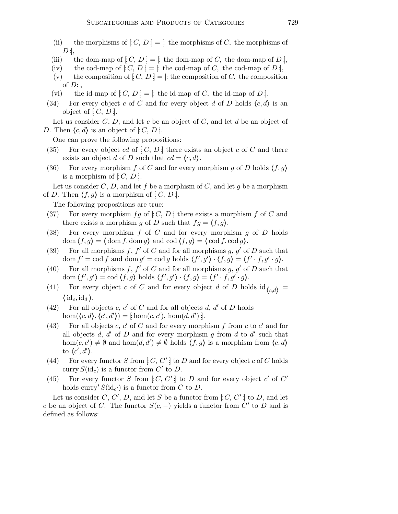- (ii) the morphisms of  $[C, D] =$  the morphisms of C, the morphisms of  $D$  :
- (iii) the dom-map of  $[C, D] =$  the dom-map of C, the dom-map of D :
- (iv) the cod-map of  $[C, D] =$  [: the cod-map of C, the cod-map of D ],
- (v) the composition of  $[C, D] = |$ : the composition of C, the composition of  $D$ :
- (vi) the id-map of  $[C, D] = [$  the id-map of C, the id-map of D :.
- (34) For every object c of C and for every object d of D holds  $\langle c, d \rangle$  is an object of  $[C, D]$ .

Let us consider  $C, D$ , and let c be an object of  $C$ , and let d be an object of D. Then  $\langle c, d \rangle$  is an object of  $[C, D]$ .

One can prove the following propositions:

- (35) For every object cd of  $[C, D]$  there exists an object c of C and there exists an object d of D such that  $cd = \langle c, d \rangle$ .
- (36) For every morphism f of C and for every morphism g of D holds  $\langle f, g \rangle$ is a morphism of  $[C, D]$ .

Let us consider  $C, D$ , and let f be a morphism of  $C$ , and let g be a morphism of D. Then  $\langle f, g \rangle$  is a morphism of  $[C, D]$ .

The following propositions are true:

- (37) For every morphism  $fg$  of  $[C, D]$  there exists a morphism f of C and there exists a morphism g of D such that  $fg = \langle f, g \rangle$ .
- (38) For every morphism  $f$  of  $C$  and for every morphism  $g$  of  $D$  holds  $\text{dom}(f, g) = \text{dom}(f, \text{dom}(g))$  and  $\text{cod}(f, g) = \text{cod}(f, \text{cod}(g))$ .
- (39) For all morphisms f,  $f'$  of C and for all morphisms g, g' of D such that dom  $f' = \text{cod } f$  and dom  $g' = \text{cod } g$  holds  $\langle f', g' \rangle \cdot \langle f, g \rangle = \langle f' \cdot f, g' \cdot g \rangle$ .
- (40) For all morphisms f,  $f'$  of C and for all morphisms g, g' of D such that dom  $\langle f', g' \rangle = \text{cod } \langle f, g \rangle$  holds  $\langle f', g' \rangle \cdot \langle f, g \rangle = \langle f' \cdot f, g' \cdot g \rangle$ .
- (41) For every object c of C and for every object d of D holds  $\mathrm{id}_{c,d}$  $\langle \mathrm{id}_c, \mathrm{id}_d \rangle$ .
- (42) For all objects c, c' of C and for all objects d, d' of D holds  $hom(\langle c, d \rangle, \langle c', d' \rangle) = [\text{hom}(c, c'), \text{hom}(d, d')]$ .
- (43) For all objects c, c' of C and for every morphism f from c to c' and for all objects  $d, d'$  of D and for every morphism g from d to d' such that hom $(c, c') \neq \emptyset$  and hom $(d, d') \neq \emptyset$  holds  $\langle f, g \rangle$  is a morphism from  $\langle c, d \rangle$ to  $\langle c', d' \rangle$ .
- (44) For every functor S from  $[C, C']$  to D and for every object c of C holds curry  $S(\mathrm{id}_{c})$  is a functor from  $C'$  to  $D$ .
- (45) For every functor S from  $[C, C']$  to D and for every object c' of C' holds curry'  $S(\mathrm{id}_{c'})$  is a functor from C to D.

Let us consider C, C', D, and let S be a functor from  $[C, C']$  to D, and let c be an object of C. The functor  $S(c, -)$  yields a functor from  $C'$  to D and is defined as follows: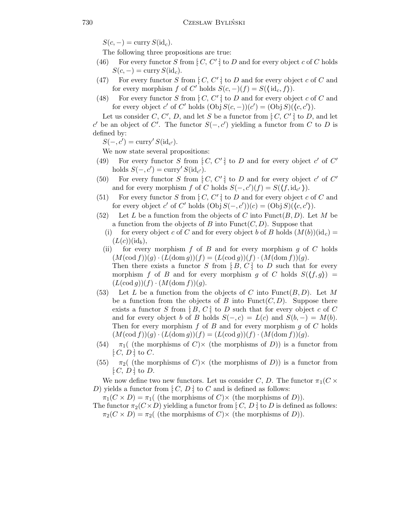$S(c, -) = \text{curry } S(\text{id}_c).$ 

The following three propositions are true:

- (46) For every functor S from  $[C, C']$  to D and for every object c of C holds  $S(c, -) = \text{curry } S(\text{id}_c).$
- (47) For every functor S from  $[C, C']$  to D and for every object c of C and for every morphism f of C' holds  $S(c, -)(f) = S(\lbrace id_c, f \rbrace)$ .
- (48) For every functor S from  $[C, C']$  to D and for every object c of C and for every object c' of C' holds  $(Obj S(c, -))(c') = (Obj S)(\langle c, c' \rangle)$ .

Let us consider C, C', D, and let S be a functor from  $[C, C']$  to D, and let c' be an object of C'. The functor  $S(-, c')$  yielding a functor from C to D is defined by:

 $S(-, c') = \text{curry}' S(\text{id}_{c'}).$ 

We now state several propositions:

- (49) For every functor S from  $[C, C']$  to D and for every object c' of C' holds  $S(-, c') = \text{curry}' S(\text{id}_{c'}).$
- (50) For every functor S from  $[C, C']$  to D and for every object c' of C' and for every morphism f of C holds  $S(-, c')(f) = S(\langle f, id_{c'} \rangle)$ .
- (51) For every functor S from  $[C, C']$  to D and for every object c of C and for every object c' of C' holds  $(Obj S(-, c'))(c) = (Obj S)(\langle c, c' \rangle)$ .
- (52) Let L be a function from the objects of C into Funct $(B, D)$ . Let M be a function from the objects of B into  $\text{Funct}(C, D)$ . Suppose that
	- (i) for every object c of C and for every object b of B holds  $(M(b))(\mathrm{id}_c)$  $(L(c))(\mathrm{id}_b),$
	- (ii) for every morphism  $f$  of  $B$  and for every morphism  $g$  of  $C$  holds  $(M(\operatorname{cod} f))(g) \cdot (L(\operatorname{dom} g))(f) = (L(\operatorname{cod} g))(f) \cdot (M(\operatorname{dom} f))(g).$ Then there exists a functor S from  $[B, C]$  to D such that for every morphism f of B and for every morphism g of C holds  $S(\langle f, g \rangle)$  =  $(L(\operatorname{cod} g))(f) \cdot (M(\operatorname{dom} f))(g).$
- (53) Let L be a function from the objects of C into Funct $(B, D)$ . Let M be a function from the objects of B into Funct $(C, D)$ . Suppose there exists a functor S from  $[B, C]$  to D such that for every object c of C and for every object b of B holds  $S(-, c) = L(c)$  and  $S(b, -) = M(b)$ . Then for every morphism  $f$  of  $B$  and for every morphism  $g$  of  $C$  holds  $(M(\operatorname{cod} f))(g) \cdot (L(\operatorname{dom} g))(f) = (L(\operatorname{cod} g))(f) \cdot (M(\operatorname{dom} f))(g).$
- (54)  $\pi_1$  (the morphisms of C) is a functor from  $[C, D]$  to C.
- (55)  $\pi_2$  (the morphisms of C) is a functor from  $[C, D]$  to D.

We now define two new functors. Let us consider C, D. The functor  $\pi_1(C \times$ D) yields a functor from  $[C, D]$  to C and is defined as follows:

 $\pi_1(C \times D) = \pi_1(\text{ (the morphisms of } C) \times \text{ (the morphisms of } D)).$ 

The functor  $\pi_2(C \times D)$  yielding a functor from [ $C, D$ ] to D is defined as follows:  $\pi_2(C \times D) = \pi_2$  (the morphisms of C) $\times$  (the morphisms of D)).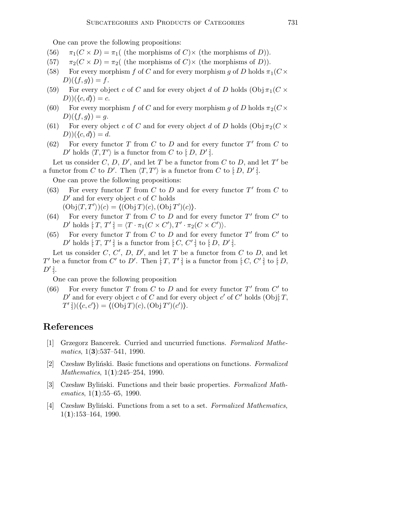One can prove the following propositions:

- (56)  $\pi_1(C \times D) = \pi_1$  (the morphisms of C) $\times$  (the morphisms of D)).
- (57)  $\pi_2(C \times D) = \pi_2$  (the morphisms of C) $\times$  (the morphisms of D)).
- (58) For every morphism f of C and for every morphism q of D holds  $\pi_1(C \times$  $D(\langle f, g \rangle) = f.$
- (59) For every object c of C and for every object d of D holds  $(\mathrm{Obj} \pi_1(C \times$  $(D))(\langle c, d \rangle) = c.$
- (60) For every morphism f of C and for every morphism g of D holds  $\pi_2(C\times$  $D)(\langle f, g \rangle) = g.$
- (61) For every object c of C and for every object d of D holds  $(\text{Obj}\,\pi_2(C \times$  $(D))(\langle c, d \rangle) = d.$
- (62) For every functor  $T$  from  $C$  to  $D$  and for every functor  $T'$  from  $C$  to D' holds  $\langle T, T' \rangle$  is a functor from C to  $[ D, D' ]$ .

Let us consider C, D, D', and let T be a functor from C to D, and let T' be a functor from C to D'. Then  $\langle T, T' \rangle$  is a functor from C to  $[D, D']$ .

One can prove the following propositions:

- (63) For every functor  $T$  from  $C$  to  $D$  and for every functor  $T'$  from  $C$  to  $D'$  and for every object c of C holds  $(\mathrm{Obj}\langle T,T'\rangle)(c) = \langle (\mathrm{Obj}\,T)(c),(\mathrm{Obj}\,T')(c)\rangle.$
- (64) For every functor T from C to D and for every functor  $T'$  from  $C'$  to D' holds  $[\tilde{T}, T'] = \langle T \cdot \pi_1(C \times C'), T' \cdot \pi_2(C \times C') \rangle$ .
- (65) For every functor  $T$  from  $C$  to  $D$  and for every functor  $T'$  from  $C'$  to D' holds  $[T, T']$  is a functor from  $[C, C']$  to  $[D, D']$ .

Let us consider  $C, C', D, D'$ , and let T be a functor from C to D, and let T' be a functor from  $C'$  to  $D'$ . Then  $[T, T']$  is a functor from  $[C, C']$  to  $[D, C']$  $D'$ .

One can prove the following proposition

(66) For every functor T from C to D and for every functor  $T'$  from  $C'$  to D' and for every object c of C and for every object c' of C' holds (Obj[T,  $T'$  :  $((c, c')) = ((Obj T)(c), (Obj T')(c')).$ 

## References

- [1] Grzegorz Bancerek. Curried and uncurried functions. Formalized Mathe $matics, 1(3):537-541, 1990.$
- [2] Czesław Byliński. Basic functions and operations on functions. Formalized Mathematics, 1(1):245–254, 1990.
- [3] Czesław Byliński. Functions and their basic properties. Formalized Mathematics,  $1(1):55-65$ , 1990.
- [4] Czesław Byliński. Functions from a set to a set. Formalized Mathematics,  $1(1):153-164, 1990.$